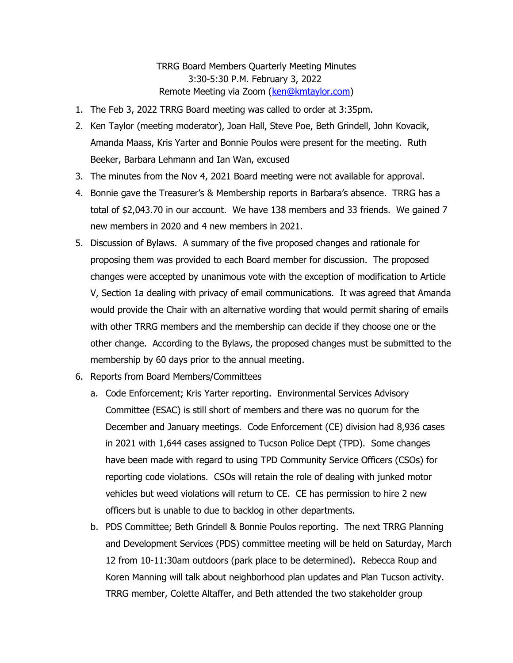## TRRG Board Members Quarterly Meeting Minutes 3:30-5:30 P.M. February 3, 2022 Remote Meeting via Zoom ([ken@kmtaylor.com](mailto:ken@kmtaylor.com))

- 1. The Feb 3, 2022 TRRG Board meeting was called to order at 3:35pm.
- 2. Ken Taylor (meeting moderator), Joan Hall, Steve Poe, Beth Grindell, John Kovacik, Amanda Maass, Kris Yarter and Bonnie Poulos were present for the meeting. Ruth Beeker, Barbara Lehmann and Ian Wan, excused
- 3. The minutes from the Nov 4, 2021 Board meeting were not available for approval.
- 4. Bonnie gave the Treasurer's & Membership reports in Barbara's absence. TRRG has a total of \$2,043.70 in our account. We have 138 members and 33 friends. We gained 7 new members in 2020 and 4 new members in 2021.
- 5. Discussion of Bylaws. A summary of the five proposed changes and rationale for proposing them was provided to each Board member for discussion. The proposed changes were accepted by unanimous vote with the exception of modification to Article V, Section 1a dealing with privacy of email communications. It was agreed that Amanda would provide the Chair with an alternative wording that would permit sharing of emails with other TRRG members and the membership can decide if they choose one or the other change. According to the Bylaws, the proposed changes must be submitted to the membership by 60 days prior to the annual meeting.
- 6. Reports from Board Members/Committees
	- a. Code Enforcement; Kris Yarter reporting. Environmental Services Advisory Committee (ESAC) is still short of members and there was no quorum for the December and January meetings. Code Enforcement (CE) division had 8,936 cases in 2021 with 1,644 cases assigned to Tucson Police Dept (TPD). Some changes have been made with regard to using TPD Community Service Officers (CSOs) for reporting code violations. CSOs will retain the role of dealing with junked motor vehicles but weed violations will return to CE. CE has permission to hire 2 new officers but is unable to due to backlog in other departments.
	- b. PDS Committee; Beth Grindell & Bonnie Poulos reporting. The next TRRG Planning and Development Services (PDS) committee meeting will be held on Saturday, March 12 from 10-11:30am outdoors (park place to be determined). Rebecca Roup and Koren Manning will talk about neighborhood plan updates and Plan Tucson activity. TRRG member, Colette Altaffer, and Beth attended the two stakeholder group